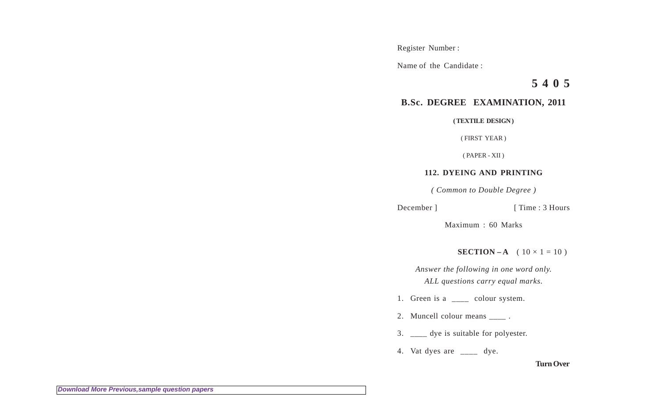Register Number :

Name of the Candidate :

**5 4 0 5**

## **B.Sc. DEGREE EXAMINATION, 2011**

**( TEXTILE DESIGN )**

( FIRST YEAR )

( PAPER - XII )

## **112. DYEING AND PRINTING**

*( Common to Double Degree )*

```
December ] [ Time : 3 Hours
```
Maximum : 60 Marks

**SECTION – A** (  $10 \times 1 = 10$  )

*Answer the following in one word only. ALL questions carry equal marks.*

1. Green is a \_\_\_\_ colour system.

2. Muncell colour means  $\frac{1}{\sqrt{2}}$ .

- 3. \_\_\_\_ dye is suitable for polyester.
- 4. Vat dyes are \_\_\_\_ dye.

**Turn Over**